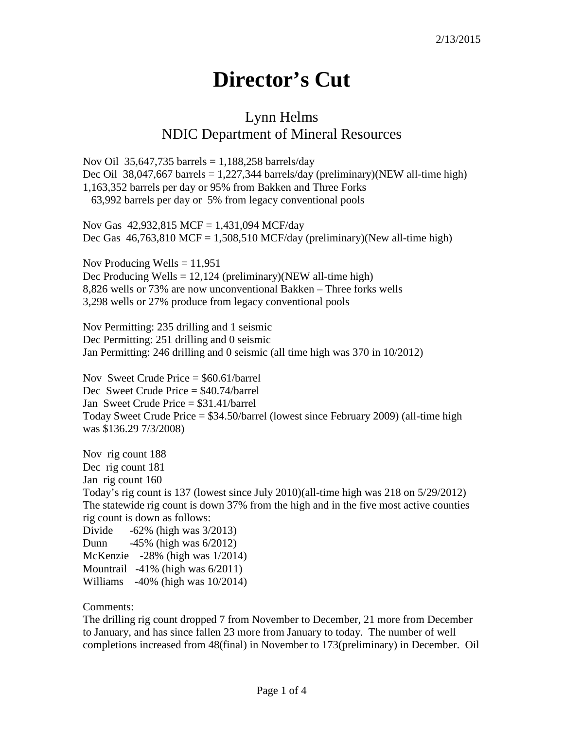## **Director's Cut**

## Lynn Helms NDIC Department of Mineral Resources

Nov Oil 35,647,735 barrels =  $1,188,258$  barrels/day Dec Oil 38,047,667 barrels = 1,227,344 barrels/day (preliminary)(NEW all-time high) 1,163,352 barrels per day or 95% from Bakken and Three Forks 63,992 barrels per day or 5% from legacy conventional pools

Nov Gas 42,932,815 MCF = 1,431,094 MCF/day Dec Gas  $46,763,810$  MCF = 1,508,510 MCF/day (preliminary)(New all-time high)

Nov Producing Wells  $= 11,951$ Dec Producing Wells  $= 12,124$  (preliminary)(NEW all-time high) 8,826 wells or 73% are now unconventional Bakken – Three forks wells 3,298 wells or 27% produce from legacy conventional pools

Nov Permitting: 235 drilling and 1 seismic Dec Permitting: 251 drilling and 0 seismic Jan Permitting: 246 drilling and 0 seismic (all time high was 370 in 10/2012)

Nov Sweet Crude Price = \$60.61/barrel Dec Sweet Crude Price = \$40.74/barrel Jan Sweet Crude Price = \$31.41/barrel Today Sweet Crude Price = \$34.50/barrel (lowest since February 2009) (all-time high was \$136.29 7/3/2008)

Nov rig count 188 Dec rig count 181 Jan rig count 160 Today's rig count is 137 (lowest since July 2010)(all-time high was 218 on 5/29/2012) The statewide rig count is down 37% from the high and in the five most active counties rig count is down as follows: Divide  $-62\%$  (high was  $3/2013$ ) Dunn -45% (high was 6/2012)

McKenzie -28% (high was 1/2014) Mountrail -41% (high was 6/2011) Williams -40% (high was 10/2014)

Comments:

The drilling rig count dropped 7 from November to December, 21 more from December to January, and has since fallen 23 more from January to today. The number of well completions increased from 48(final) in November to 173(preliminary) in December. Oil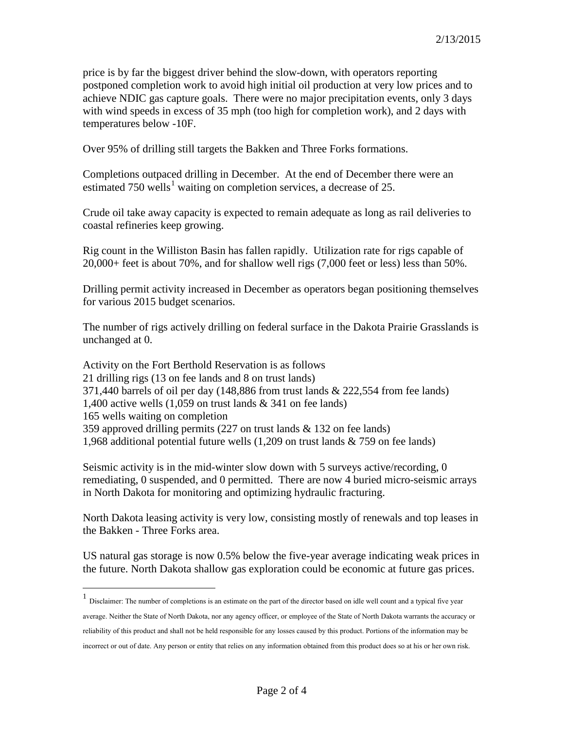price is by far the biggest driver behind the slow-down, with operators reporting postponed completion work to avoid high initial oil production at very low prices and to achieve NDIC gas capture goals. There were no major precipitation events, only 3 days with wind speeds in excess of 35 mph (too high for completion work), and 2 days with temperatures below -10F.

Over 95% of drilling still targets the Bakken and Three Forks formations.

Completions outpaced drilling in December. At the end of December there were an estimated 750 wells<sup>[1](#page-1-0)</sup> waiting on completion services, a decrease of 25.

Crude oil take away capacity is expected to remain adequate as long as rail deliveries to coastal refineries keep growing.

Rig count in the Williston Basin has fallen rapidly. Utilization rate for rigs capable of 20,000+ feet is about 70%, and for shallow well rigs (7,000 feet or less) less than 50%.

Drilling permit activity increased in December as operators began positioning themselves for various 2015 budget scenarios.

The number of rigs actively drilling on federal surface in the Dakota Prairie Grasslands is unchanged at 0.

Activity on the Fort Berthold Reservation is as follows 21 drilling rigs (13 on fee lands and 8 on trust lands) 371,440 barrels of oil per day  $(148,886$  from trust lands  $\&$  222,554 from fee lands) 1,400 active wells (1,059 on trust lands & 341 on fee lands) 165 wells waiting on completion 359 approved drilling permits (227 on trust lands & 132 on fee lands) 1,968 additional potential future wells (1,209 on trust lands & 759 on fee lands)

Seismic activity is in the mid-winter slow down with 5 surveys active/recording, 0 remediating, 0 suspended, and 0 permitted. There are now 4 buried micro-seismic arrays in North Dakota for monitoring and optimizing hydraulic fracturing.

North Dakota leasing activity is very low, consisting mostly of renewals and top leases in the Bakken - Three Forks area.

US natural gas storage is now 0.5% below the five-year average indicating weak prices in the future. North Dakota shallow gas exploration could be economic at future gas prices.

<span id="page-1-0"></span> <sup>1</sup> Disclaimer: The number of completions is an estimate on the part of the director based on idle well count and a typical five year average. Neither the State of North Dakota, nor any agency officer, or employee of the State of North Dakota warrants the accuracy or reliability of this product and shall not be held responsible for any losses caused by this product. Portions of the information may be incorrect or out of date. Any person or entity that relies on any information obtained from this product does so at his or her own risk.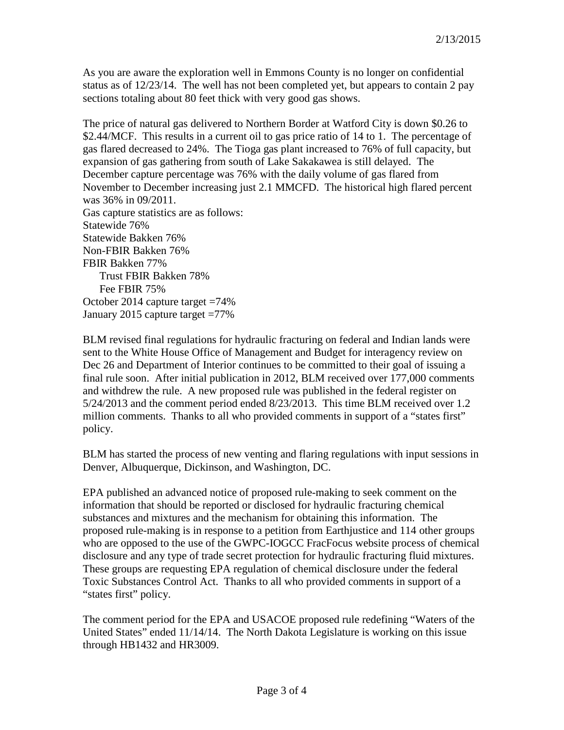As you are aware the exploration well in Emmons County is no longer on confidential status as of 12/23/14. The well has not been completed yet, but appears to contain 2 pay sections totaling about 80 feet thick with very good gas shows.

The price of natural gas delivered to Northern Border at Watford City is down \$0.26 to \$2.44/MCF. This results in a current oil to gas price ratio of 14 to 1. The percentage of gas flared decreased to 24%. The Tioga gas plant increased to 76% of full capacity, but expansion of gas gathering from south of Lake Sakakawea is still delayed. The December capture percentage was 76% with the daily volume of gas flared from November to December increasing just 2.1 MMCFD. The historical high flared percent was 36% in 09/2011. Gas capture statistics are as follows: Statewide 76% Statewide Bakken 76% Non-FBIR Bakken 76% FBIR Bakken 77% Trust FBIR Bakken 78% Fee FBIR 75%

October 2014 capture target =74% January 2015 capture target =77%

BLM revised final regulations for hydraulic fracturing on federal and Indian lands were sent to the White House Office of Management and Budget for interagency review on Dec 26 and Department of Interior continues to be committed to their goal of issuing a final rule soon. After initial publication in 2012, BLM received over 177,000 comments and withdrew the rule. A new proposed rule was published in the federal register on 5/24/2013 and the comment period ended 8/23/2013. This time BLM received over 1.2 million comments. Thanks to all who provided comments in support of a "states first" policy.

BLM has started the process of new venting and flaring regulations with input sessions in Denver, Albuquerque, Dickinson, and Washington, DC.

EPA published an advanced notice of proposed rule-making to seek comment on the information that should be reported or disclosed for hydraulic fracturing chemical substances and mixtures and the mechanism for obtaining this information. The proposed rule-making is in response to a petition from Earthjustice and 114 other groups who are opposed to the use of the GWPC-IOGCC FracFocus website process of chemical disclosure and any type of trade secret protection for hydraulic fracturing fluid mixtures. These groups are requesting EPA regulation of chemical disclosure under the federal Toxic Substances Control Act. Thanks to all who provided comments in support of a "states first" policy.

The comment period for the EPA and USACOE proposed rule redefining "Waters of the United States" ended 11/14/14. The North Dakota Legislature is working on this issue through HB1432 and HR3009.